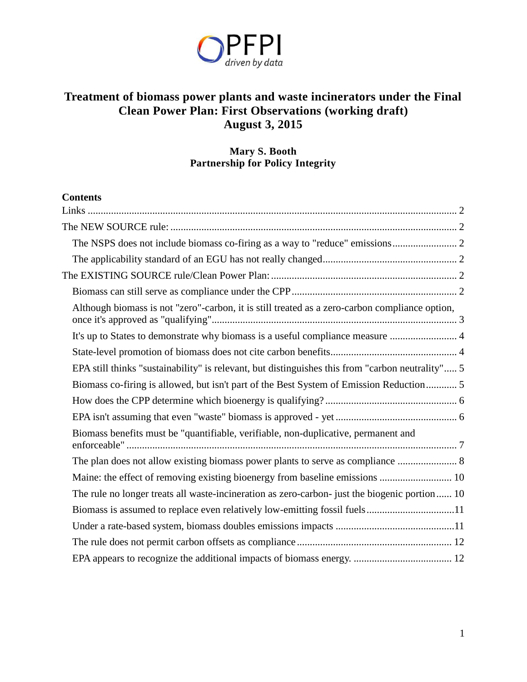

# **Treatment of biomass power plants and waste incinerators under the Final Clean Power Plan: First Observations (working draft) August 3, 2015**

# **Mary S. Booth Partnership for Policy Integrity**

# **Contents**

| Although biomass is not "zero"-carbon, it is still treated as a zero-carbon compliance option,   |
|--------------------------------------------------------------------------------------------------|
|                                                                                                  |
|                                                                                                  |
| EPA still thinks "sustainability" is relevant, but distinguishes this from "carbon neutrality" 5 |
| Biomass co-firing is allowed, but isn't part of the Best System of Emission Reduction 5          |
|                                                                                                  |
|                                                                                                  |
| Biomass benefits must be "quantifiable, verifiable, non-duplicative, permanent and               |
|                                                                                                  |
|                                                                                                  |
| The rule no longer treats all waste-incineration as zero-carbon- just the biogenic portion 10    |
| Biomass is assumed to replace even relatively low-emitting fossil fuels11                        |
|                                                                                                  |
|                                                                                                  |
|                                                                                                  |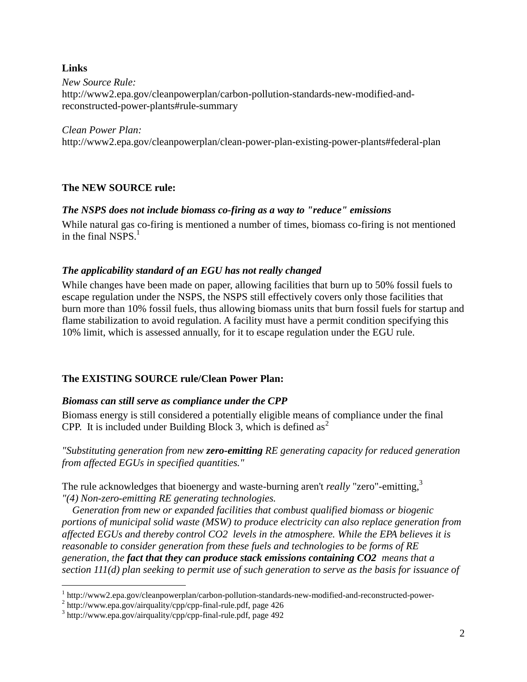#### <span id="page-1-0"></span>**Links**

 $\overline{a}$ 

*New Source Rule:*  http://www2.epa.gov/cleanpowerplan/carbon-pollution-standards-new-modified-andreconstructed-power-plants#rule-summary

*Clean Power Plan:*  http://www2.epa.gov/cleanpowerplan/clean-power-plan-existing-power-plants#federal-plan

#### <span id="page-1-1"></span>**The NEW SOURCE rule:**

#### <span id="page-1-2"></span>*The NSPS does not include biomass co-firing as a way to "reduce" emissions*

While natural gas co-firing is mentioned a number of times, biomass co-firing is not mentioned in the final NSPS. $<sup>1</sup>$ </sup>

#### <span id="page-1-3"></span>*The applicability standard of an EGU has not really changed*

While changes have been made on paper, allowing facilities that burn up to 50% fossil fuels to escape regulation under the NSPS, the NSPS still effectively covers only those facilities that burn more than 10% fossil fuels, thus allowing biomass units that burn fossil fuels for startup and flame stabilization to avoid regulation. A facility must have a permit condition specifying this 10% limit, which is assessed annually, for it to escape regulation under the EGU rule.

#### <span id="page-1-4"></span>**The EXISTING SOURCE rule/Clean Power Plan:**

#### <span id="page-1-5"></span>*Biomass can still serve as compliance under the CPP*

Biomass energy is still considered a potentially eligible means of compliance under the final CPP. It is included under Building Block 3, which is defined as<sup>2</sup>

*"Substituting generation from new zero-emitting RE generating capacity for reduced generation from affected EGUs in specified quantities."*

The rule acknowledges that bioenergy and waste-burning aren't *really* "zero"-emitting, 3 *"(4) Non-zero-emitting RE generating technologies.* 

 *Generation from new or expanded facilities that combust qualified biomass or biogenic portions of municipal solid waste (MSW) to produce electricity can also replace generation from affected EGUs and thereby control CO2 levels in the atmosphere. While the EPA believes it is reasonable to consider generation from these fuels and technologies to be forms of RE generation, the fact that they can produce stack emissions containing CO2 means that a section 111(d) plan seeking to permit use of such generation to serve as the basis for issuance of*

<sup>&</sup>lt;sup>1</sup> http://www2.epa.gov/cleanpowerplan/carbon-pollution-standards-new-modified-and-reconstructed-power-

<sup>&</sup>lt;sup>2</sup> http://www.epa.gov/airquality/cpp/cpp-final-rule.pdf, page 426

<sup>3</sup> http://www.epa.gov/airquality/cpp/cpp-final-rule.pdf, page 492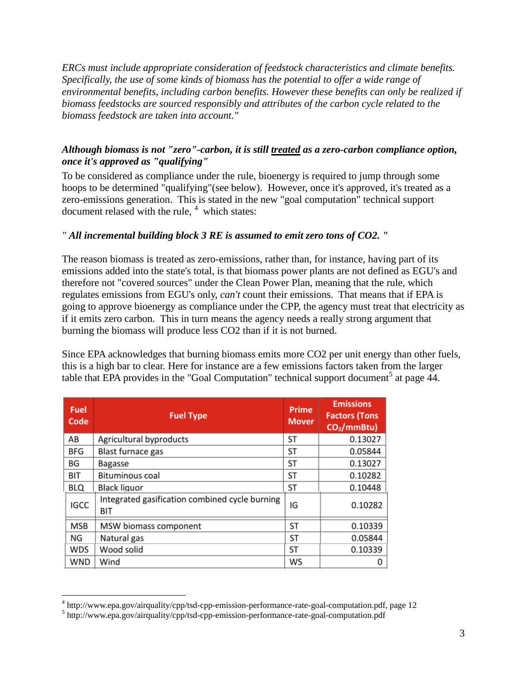*ERCs must include appropriate consideration of feedstock characteristics and climate benefits. Specifically, the use of some kinds of biomass has the potential to offer a wide range of environmental benefits, including carbon benefits. However these benefits can only be realized if biomass feedstocks are sourced responsibly and attributes of the carbon cycle related to the biomass feedstock are taken into account."*

# <span id="page-2-0"></span>*Although biomass is not "zero"-carbon, it is still treated as a zero-carbon compliance option, once it's approved as "qualifying"*

To be considered as compliance under the rule, bioenergy is required to jump through some hoops to be determined "qualifying"(see below). However, once it's approved, it's treated as a zero-emissions generation. This is stated in the new "goal computation" technical support document relased with the rule,  $4$  which states:

#### *" All incremental building block 3 RE is assumed to emit zero tons of CO2. "*

The reason biomass is treated as zero-emissions, rather than, for instance, having part of its emissions added into the state's total, is that biomass power plants are not defined as EGU's and therefore not "covered sources" under the Clean Power Plan, meaning that the rule, which regulates emissions from EGU's only, *can't* count their emissions. That means that if EPA is going to approve bioenergy as compliance under the CPP, the agency must treat that electricity as if it emits zero carbon. This in turn means the agency needs a really strong argument that burning the biomass will produce less CO2 than if it is not burned.

Since EPA acknowledges that burning biomass emits more CO2 per unit energy than other fuels, this is a high bar to clear. Here for instance are a few emissions factors taken from the larger table that EPA provides in the "Goal Computation" technical support document<sup>5</sup> at page  $\overline{44}$ .

| <b>Fuel</b><br>Code | <b>Fuel Type</b>                                      | Prime<br><b>Mover</b> | <b>Emissions</b><br><b>Factors (Tons</b><br>$CO2/mmBtu$ ) |
|---------------------|-------------------------------------------------------|-----------------------|-----------------------------------------------------------|
| AB                  | Agricultural byproducts                               | ST                    | 0.13027                                                   |
| <b>BFG</b>          | Blast furnace gas                                     | ST                    | 0.05844                                                   |
| BG                  | Bagasse                                               | ST                    | 0.13027                                                   |
| <b>BIT</b>          | Bituminous coal                                       | ST                    | 0.10282                                                   |
| <b>BLQ</b>          | Black liguor                                          | ST                    | 0.10448                                                   |
| <b>IGCC</b>         | Integrated gasification combined cycle burning<br>BIT | IG                    | 0.10282                                                   |
| <b>MSB</b>          | MSW biomass component                                 | <b>ST</b>             | 0.10339                                                   |
| ΝG                  | Natural gas                                           | ST                    | 0.05844                                                   |
| WDS                 | Wood solid                                            | ST                    | 0.10339                                                   |
| WND                 | Wind                                                  | WS                    | 0                                                         |

<sup>&</sup>lt;sup>4</sup> http://www.epa.gov/airquality/cpp/tsd-cpp-emission-performance-rate-goal-computation.pdf, page 12

<sup>&</sup>lt;sup>5</sup> http://www.epa.gov/airquality/cpp/tsd-cpp-emission-performance-rate-goal-computation.pdf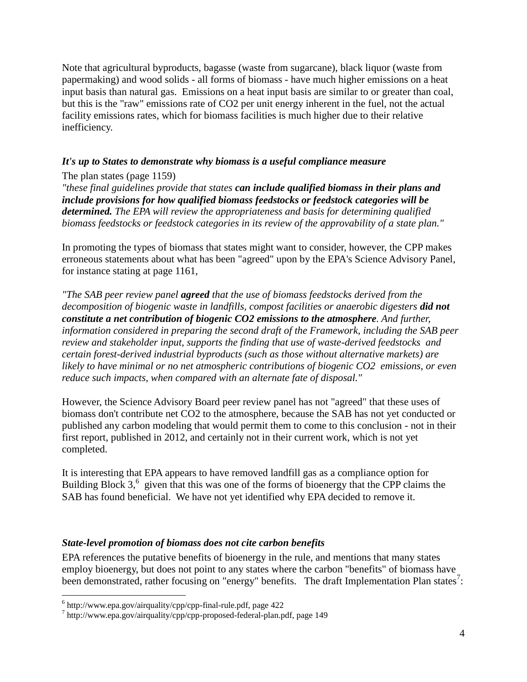Note that agricultural byproducts, bagasse (waste from sugarcane), black liquor (waste from papermaking) and wood solids - all forms of biomass - have much higher emissions on a heat input basis than natural gas. Emissions on a heat input basis are similar to or greater than coal, but this is the "raw" emissions rate of CO2 per unit energy inherent in the fuel, not the actual facility emissions rates, which for biomass facilities is much higher due to their relative inefficiency.

#### <span id="page-3-0"></span>*It's up to States to demonstrate why biomass is a useful compliance measure*

#### The plan states (page 1159)

*"these final guidelines provide that states can include qualified biomass in their plans and include provisions for how qualified biomass feedstocks or feedstock categories will be determined. The EPA will review the appropriateness and basis for determining qualified biomass feedstocks or feedstock categories in its review of the approvability of a state plan."*

In promoting the types of biomass that states might want to consider, however, the CPP makes erroneous statements about what has been "agreed" upon by the EPA's Science Advisory Panel, for instance stating at page 1161,

*"The SAB peer review panel agreed that the use of biomass feedstocks derived from the decomposition of biogenic waste in landfills, compost facilities or anaerobic digesters did not constitute a net contribution of biogenic CO2 emissions to the atmosphere. And further, information considered in preparing the second draft of the Framework, including the SAB peer review and stakeholder input, supports the finding that use of waste-derived feedstocks and certain forest-derived industrial byproducts (such as those without alternative markets) are likely to have minimal or no net atmospheric contributions of biogenic CO2 emissions, or even reduce such impacts, when compared with an alternate fate of disposal."*

However, the Science Advisory Board peer review panel has not "agreed" that these uses of biomass don't contribute net CO2 to the atmosphere, because the SAB has not yet conducted or published any carbon modeling that would permit them to come to this conclusion - not in their first report, published in 2012, and certainly not in their current work, which is not yet completed.

It is interesting that EPA appears to have removed landfill gas as a compliance option for Building Block  $3<sup>6</sup>$  given that this was one of the forms of bioenergy that the CPP claims the SAB has found beneficial. We have not yet identified why EPA decided to remove it.

#### <span id="page-3-1"></span>*State-level promotion of biomass does not cite carbon benefits*

EPA references the putative benefits of bioenergy in the rule, and mentions that many states employ bioenergy, but does not point to any states where the carbon "benefits" of biomass have been demonstrated, rather focusing on "energy" benefits. The draft Implementation Plan states<sup>7</sup>:

 $6$  http://www.epa.gov/airquality/cpp/cpp-final-rule.pdf, page 422

<sup>7</sup> http://www.epa.gov/airquality/cpp/cpp-proposed-federal-plan.pdf, page 149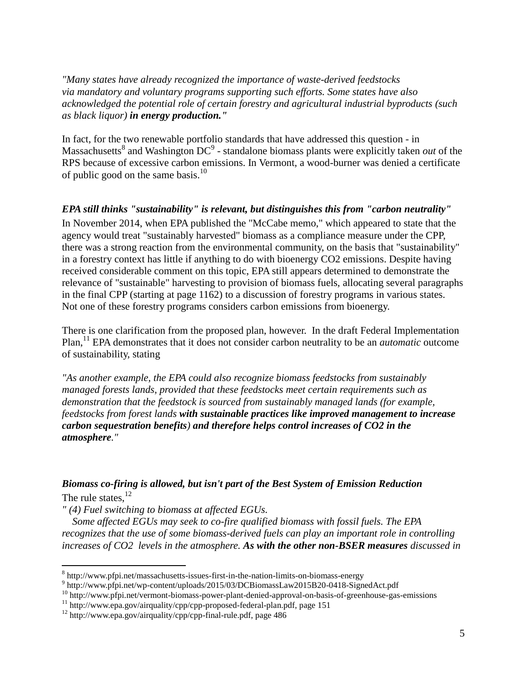*"Many states have already recognized the importance of waste-derived feedstocks via mandatory and voluntary programs supporting such efforts. Some states have also acknowledged the potential role of certain forestry and agricultural industrial byproducts (such as black liquor) in energy production."*

In fact, for the two renewable portfolio standards that have addressed this question - in Massachusetts<sup>8</sup> and Washington DC<sup>9</sup> - standalone biomass plants were explicitly taken *out* of the RPS because of excessive carbon emissions. In Vermont, a wood-burner was denied a certificate of public good on the same basis. $10$ 

#### <span id="page-4-0"></span>*EPA still thinks "sustainability" is relevant, but distinguishes this from "carbon neutrality"*

In November 2014, when EPA published the "McCabe memo," which appeared to state that the agency would treat "sustainably harvested" biomass as a compliance measure under the CPP, there was a strong reaction from the environmental community, on the basis that "sustainability" in a forestry context has little if anything to do with bioenergy CO2 emissions. Despite having received considerable comment on this topic, EPA still appears determined to demonstrate the relevance of "sustainable" harvesting to provision of biomass fuels, allocating several paragraphs in the final CPP (starting at page 1162) to a discussion of forestry programs in various states. Not one of these forestry programs considers carbon emissions from bioenergy.

There is one clarification from the proposed plan, however. In the draft Federal Implementation Plan,<sup>11</sup> EPA demonstrates that it does not consider carbon neutrality to be an *automatic* outcome of sustainability, stating

*"As another example, the EPA could also recognize biomass feedstocks from sustainably managed forests lands, provided that these feedstocks meet certain requirements such as demonstration that the feedstock is sourced from sustainably managed lands (for example, feedstocks from forest lands with sustainable practices like improved management to increase carbon sequestration benefits) and therefore helps control increases of CO2 in the atmosphere."*

## <span id="page-4-1"></span>*Biomass co-firing is allowed, but isn't part of the Best System of Emission Reduction* The rule states,  $^{12}$

*" (4) Fuel switching to biomass at affected EGUs.* 

 $\overline{a}$ 

 *Some affected EGUs may seek to co-fire qualified biomass with fossil fuels. The EPA recognizes that the use of some biomass-derived fuels can play an important role in controlling increases of CO2 levels in the atmosphere. As with the other non-BSER measures discussed in* 

<sup>&</sup>lt;sup>8</sup> http://www.pfpi.net/massachusetts-issues-first-in-the-nation-limits-on-biomass-energy

<sup>&</sup>lt;sup>9</sup> http://www.pfpi.net/wp-content/uploads/2015/03/DCBiomassLaw2015B20-0418-SignedAct.pdf

<sup>&</sup>lt;sup>10</sup> http://www.pfpi.net/vermont-biomass-power-plant-denied-approval-on-basis-of-greenhouse-gas-emissions

<sup>&</sup>lt;sup>11</sup> http://www.epa.gov/airquality/cpp/cpp-proposed-federal-plan.pdf, page 151

<sup>12</sup> http://www.epa.gov/airquality/cpp/cpp-final-rule.pdf, page 486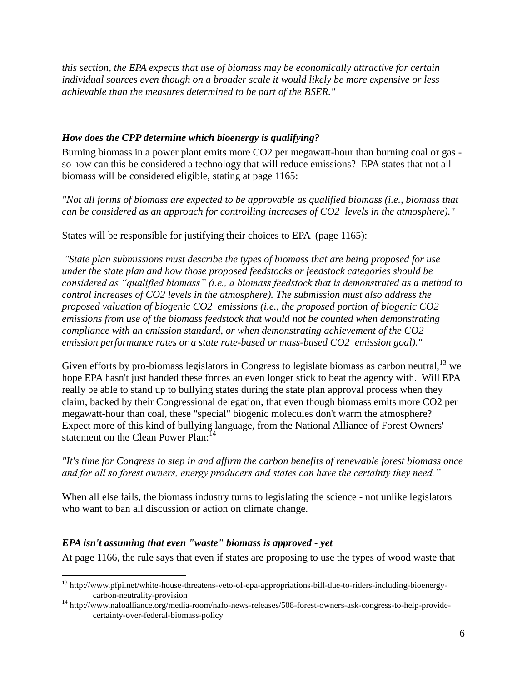*this section, the EPA expects that use of biomass may be economically attractive for certain individual sources even though on a broader scale it would likely be more expensive or less achievable than the measures determined to be part of the BSER."*

#### <span id="page-5-0"></span>*How does the CPP determine which bioenergy is qualifying?*

Burning biomass in a power plant emits more CO2 per megawatt-hour than burning coal or gas so how can this be considered a technology that will reduce emissions? EPA states that not all biomass will be considered eligible, stating at page 1165:

*"Not all forms of biomass are expected to be approvable as qualified biomass (i.e., biomass that can be considered as an approach for controlling increases of CO2 levels in the atmosphere)."*

States will be responsible for justifying their choices to EPA (page 1165):

*"State plan submissions must describe the types of biomass that are being proposed for use under the state plan and how those proposed feedstocks or feedstock categories should be considered as "qualified biomass" (i.e., a biomass feedstock that is demonstrated as a method to control increases of CO2 levels in the atmosphere). The submission must also address the proposed valuation of biogenic CO2 emissions (i.e., the proposed portion of biogenic CO2 emissions from use of the biomass feedstock that would not be counted when demonstrating compliance with an emission standard, or when demonstrating achievement of the CO2 emission performance rates or a state rate-based or mass-based CO2 emission goal)."*

Given efforts by pro-biomass legislators in Congress to legislate biomass as carbon neutral,  $^{13}$  we hope EPA hasn't just handed these forces an even longer stick to beat the agency with. Will EPA really be able to stand up to bullying states during the state plan approval process when they claim, backed by their Congressional delegation, that even though biomass emits more CO2 per megawatt-hour than coal, these "special" biogenic molecules don't warm the atmosphere? Expect more of this kind of bullying language, from the National Alliance of Forest Owners' statement on the Clean Power Plan:<sup>14</sup>

*"It's time for Congress to step in and affirm the carbon benefits of renewable forest biomass once and for all so forest owners, energy producers and states can have the certainty they need."*

When all else fails, the biomass industry turns to legislating the science - not unlike legislators who want to ban all discussion or action on climate change.

#### <span id="page-5-1"></span>*EPA isn't assuming that even "waste" biomass is approved - yet*

 $\overline{a}$ 

At page 1166, the rule says that even if states are proposing to use the types of wood waste that

<sup>&</sup>lt;sup>13</sup> http://www.pfpi.net/white-house-threatens-veto-of-epa-appropriations-bill-due-to-riders-including-bioenergycarbon-neutrality-provision

<sup>14</sup> http://www.nafoalliance.org/media-room/nafo-news-releases/508-forest-owners-ask-congress-to-help-providecertainty-over-federal-biomass-policy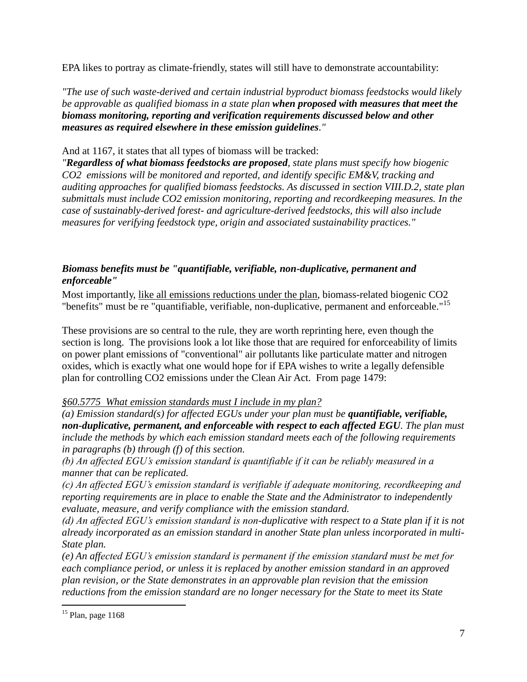EPA likes to portray as climate-friendly, states will still have to demonstrate accountability:

*"The use of such waste-derived and certain industrial byproduct biomass feedstocks would likely be approvable as qualified biomass in a state plan when proposed with measures that meet the biomass monitoring, reporting and verification requirements discussed below and other measures as required elsewhere in these emission guidelines."*

#### And at 1167, it states that all types of biomass will be tracked:

*"Regardless of what biomass feedstocks are proposed, state plans must specify how biogenic CO2 emissions will be monitored and reported, and identify specific EM&V, tracking and auditing approaches for qualified biomass feedstocks. As discussed in section VIII.D.2, state plan submittals must include CO2 emission monitoring, reporting and recordkeeping measures. In the case of sustainably-derived forest- and agriculture-derived feedstocks, this will also include measures for verifying feedstock type, origin and associated sustainability practices."*

# <span id="page-6-0"></span>*Biomass benefits must be "quantifiable, verifiable, non-duplicative, permanent and enforceable"*

Most importantly, like all emissions reductions under the plan, biomass-related biogenic CO2 "benefits" must be re "quantifiable, verifiable, non-duplicative, permanent and enforceable."<sup>15</sup>

These provisions are so central to the rule, they are worth reprinting here, even though the section is long. The provisions look a lot like those that are required for enforceability of limits on power plant emissions of "conventional" air pollutants like particulate matter and nitrogen oxides, which is exactly what one would hope for if EPA wishes to write a legally defensible plan for controlling CO2 emissions under the Clean Air Act. From page 1479:

# *§60.5775 What emission standards must I include in my plan?*

*(a) Emission standard(s) for affected EGUs under your plan must be quantifiable, verifiable, non-duplicative, permanent, and enforceable with respect to each affected EGU. The plan must include the methods by which each emission standard meets each of the following requirements in paragraphs (b) through (f) of this section.* 

*(b) An affected EGU's emission standard is quantifiable if it can be reliably measured in a manner that can be replicated.* 

*(c) An affected EGU's emission standard is verifiable if adequate monitoring, recordkeeping and reporting requirements are in place to enable the State and the Administrator to independently evaluate, measure, and verify compliance with the emission standard.* 

*(d) An affected EGU's emission standard is non-duplicative with respect to a State plan if it is not already incorporated as an emission standard in another State plan unless incorporated in multi-State plan.* 

*(e) An affected EGU's emission standard is permanent if the emission standard must be met for each compliance period, or unless it is replaced by another emission standard in an approved plan revision, or the State demonstrates in an approvable plan revision that the emission reductions from the emission standard are no longer necessary for the State to meet its State* 

 $15$  Plan, page 1168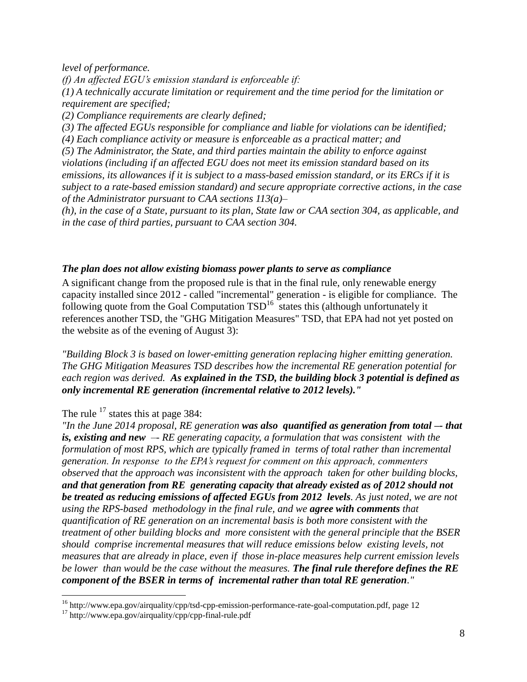*level of performance.* 

*(f) An affected EGU's emission standard is enforceable if: (1) A technically accurate limitation or requirement and the time period for the limitation or requirement are specified;* 

*(2) Compliance requirements are clearly defined;* 

*(3) The affected EGUs responsible for compliance and liable for violations can be identified;* 

*(4) Each compliance activity or measure is enforceable as a practical matter; and* 

*(5) The Administrator, the State, and third parties maintain the ability to enforce against violations (including if an affected EGU does not meet its emission standard based on its emissions, its allowances if it is subject to a mass-based emission standard, or its ERCs if it is subject to a rate-based emission standard) and secure appropriate corrective actions, in the case of the Administrator pursuant to CAA sections 113(a)–*

*(h), in the case of a State, pursuant to its plan, State law or CAA section 304, as applicable, and in the case of third parties, pursuant to CAA section 304.*

#### <span id="page-7-0"></span>*The plan does not allow existing biomass power plants to serve as compliance*

A significant change from the proposed rule is that in the final rule, only renewable energy capacity installed since 2012 - called "incremental" generation - is eligible for compliance. The following quote from the Goal Computation  $TSD^{16}$  states this (although unfortunately it references another TSD, the "GHG Mitigation Measures" TSD, that EPA had not yet posted on the website as of the evening of August 3):

*"Building Block 3 is based on lower-emitting generation replacing higher emitting generation. The GHG Mitigation Measures TSD describes how the incremental RE generation potential for each region was derived. As explained in the TSD, the building block 3 potential is defined as only incremental RE generation (incremental relative to 2012 levels)."*

The rule  $17$  states this at page 384:

*"In the June 2014 proposal, RE generation was also quantified as generation from total –- that is, existing and new –- RE generating capacity, a formulation that was consistent with the formulation of most RPS, which are typically framed in terms of total rather than incremental generation. In response to the EPA's request for comment on this approach, commenters observed that the approach was inconsistent with the approach taken for other building blocks, and that generation from RE generating capacity that already existed as of 2012 should not be treated as reducing emissions of affected EGUs from 2012 levels. As just noted, we are not using the RPS-based methodology in the final rule, and we agree with comments that quantification of RE generation on an incremental basis is both more consistent with the treatment of other building blocks and more consistent with the general principle that the BSER should comprise incremental measures that will reduce emissions below existing levels, not measures that are already in place, even if those in-place measures help current emission levels be lower than would be the case without the measures. The final rule therefore defines the RE component of the BSER in terms of incremental rather than total RE generation."*

<sup>&</sup>lt;sup>16</sup> http://www.epa.gov/airquality/cpp/tsd-cpp-emission-performance-rate-goal-computation.pdf, page 12

 $17$  http://www.epa.gov/airquality/cpp/cpp-final-rule.pdf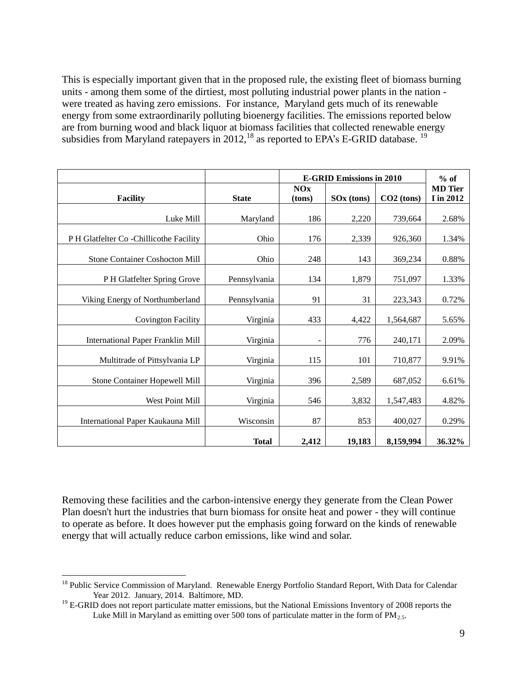This is especially important given that in the proposed rule, the existing fleet of biomass burning units - among them some of the dirtiest, most polluting industrial power plants in the nation were treated as having zero emissions. For instance, Maryland gets much of its renewable energy from some extraordinarily polluting bioenergy facilities. The emissions reported below are from burning wood and black liquor at biomass facilities that collected renewable energy subsidies from Maryland ratepayers in 2012, <sup>18</sup> as reported to EPA's E-GRID database. <sup>19</sup>

|                                          |              | <b>E-GRID Emissions in 2010</b> |                        |              | $%$ of                      |
|------------------------------------------|--------------|---------------------------------|------------------------|--------------|-----------------------------|
| <b>Facility</b>                          | <b>State</b> | <b>NOx</b><br>(tons)            | SO <sub>x</sub> (tons) | $CO2$ (tons) | <b>MD</b> Tier<br>I in 2012 |
|                                          |              |                                 |                        |              |                             |
| Luke Mill                                | Maryland     | 186                             | 2,220                  | 739,664      | 2.68%                       |
| P H Glatfelter Co - Chillicothe Facility | Ohio         | 176                             | 2,339                  | 926,360      | 1.34%                       |
| <b>Stone Container Coshocton Mill</b>    | Ohio         | 248                             | 143                    | 369,234      | 0.88%                       |
| P H Glatfelter Spring Grove              | Pennsylvania | 134                             | 1,879                  | 751,097      | 1.33%                       |
| Viking Energy of Northumberland          | Pennsylvania | 91                              | 31                     | 223,343      | 0.72%                       |
| <b>Covington Facility</b>                | Virginia     | 433                             | 4,422                  | 1,564,687    | 5.65%                       |
| <b>International Paper Franklin Mill</b> | Virginia     | $\overline{\phantom{a}}$        | 776                    | 240,171      | 2.09%                       |
| Multitrade of Pittsylvania LP            | Virginia     | 115                             | 101                    | 710,877      | 9.91%                       |
| Stone Container Hopewell Mill            | Virginia     | 396                             | 2,589                  | 687,052      | 6.61%                       |
| West Point Mill                          | Virginia     | 546                             | 3,832                  | 1,547,483    | 4.82%                       |
| International Paper Kaukauna Mill        | Wisconsin    | 87                              | 853                    | 400,027      | 0.29%                       |
|                                          | <b>Total</b> | 2,412                           | 19,183                 | 8,159,994    | 36.32%                      |

Removing these facilities and the carbon-intensive energy they generate from the Clean Power Plan doesn't hurt the industries that burn biomass for onsite heat and power - they will continue to operate as before. It does however put the emphasis going forward on the kinds of renewable energy that will actually reduce carbon emissions, like wind and solar.

<sup>&</sup>lt;sup>18</sup> Public Service Commission of Maryland. Renewable Energy Portfolio Standard Report, With Data for Calendar Year 2012. January, 2014. Baltimore, MD.

 $19$  E-GRID does not report particulate matter emissions, but the National Emissions Inventory of 2008 reports the Luke Mill in Maryland as emitting over 500 tons of particulate matter in the form of  $PM_{2.5}$ .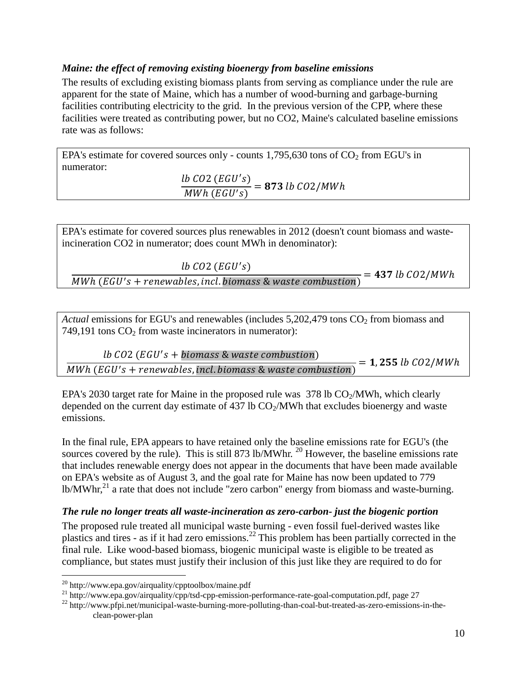## <span id="page-9-0"></span>*Maine: the effect of removing existing bioenergy from baseline emissions*

The results of excluding existing biomass plants from serving as compliance under the rule are apparent for the state of Maine, which has a number of wood-burning and garbage-burning facilities contributing electricity to the grid. In the previous version of the CPP, where these facilities were treated as contributing power, but no CO2, Maine's calculated baseline emissions rate was as follows:

EPA's estimate for covered sources only - counts  $1,795,630$  tons of  $CO<sub>2</sub>$  from EGU's in numerator:

 $lb$   $CO2$   $(EGU's$  $\boldsymbol{M}$  $=$ 

EPA's estimate for covered sources plus renewables in 2012 (doesn't count biomass and wasteincineration CO2 in numerator; does count MWh in denominator):

 $lb$   $CO2$   $(EGU's$  $\overline{MWh}$  (EGU's + renewables, incl. biomass & waste combustion)  $\frac{1}{2}$  = 437 lb CO2/MWh

*Actual* emissions for EGU's and renewables (includes  $5,202,479$  tons  $CO<sub>2</sub>$  from biomass and 749,191 tons  $CO<sub>2</sub>$  from waste incinerators in numerator):

 $lb$   $CO2$   $(EGU's$  $\overline{M}$  $=$ 

EPA's 2030 target rate for Maine in the proposed rule was  $378$  lb  $CO<sub>2</sub>/MWh$ , which clearly depended on the current day estimate of 437 lb  $CO<sub>2</sub>/MWh$  that excludes bioenergy and waste emissions.

In the final rule, EPA appears to have retained only the baseline emissions rate for EGU's (the sources covered by the rule). This is still 873 lb/MWhr.  $^{20}$  However, the baseline emissions rate that includes renewable energy does not appear in the documents that have been made available on EPA's website as of August 3, and the goal rate for Maine has now been updated to 779 lb/MWhr,<sup>21</sup> a rate that does not include "zero carbon" energy from biomass and waste-burning.

#### <span id="page-9-1"></span>*The rule no longer treats all waste-incineration as zero-carbon- just the biogenic portion*

The proposed rule treated all municipal waste burning - even fossil fuel-derived wastes like plastics and tires - as if it had zero emissions.<sup>22</sup> This problem has been partially corrected in the final rule. Like wood-based biomass, biogenic municipal waste is eligible to be treated as compliance, but states must justify their inclusion of this just like they are required to do for

 $\overline{a}$ 

<sup>21</sup> http://www.epa.gov/airquality/cpp/tsd-cpp-emission-performance-rate-goal-computation.pdf, page 27

<sup>22</sup> http://www.pfpi.net/municipal-waste-burning-more-polluting-than-coal-but-treated-as-zero-emissions-in-theclean-power-plan

 $^{20}$  http://www.epa.gov/airquality/cpptoolbox/maine.pdf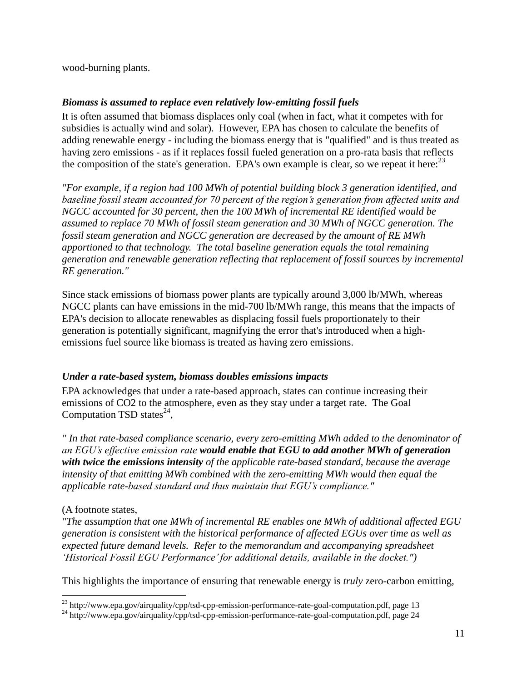wood-burning plants.

# <span id="page-10-0"></span>*Biomass is assumed to replace even relatively low-emitting fossil fuels*

It is often assumed that biomass displaces only coal (when in fact, what it competes with for subsidies is actually wind and solar). However, EPA has chosen to calculate the benefits of adding renewable energy - including the biomass energy that is "qualified" and is thus treated as having zero emissions - as if it replaces fossil fueled generation on a pro-rata basis that reflects the composition of the state's generation. EPA's own example is clear, so we repeat it here:  $23$ 

*"For example, if a region had 100 MWh of potential building block 3 generation identified, and baseline fossil steam accounted for 70 percent of the region's generation from affected units and NGCC accounted for 30 percent, then the 100 MWh of incremental RE identified would be assumed to replace 70 MWh of fossil steam generation and 30 MWh of NGCC generation. The fossil steam generation and NGCC generation are decreased by the amount of RE MWh apportioned to that technology. The total baseline generation equals the total remaining generation and renewable generation reflecting that replacement of fossil sources by incremental RE generation."*

Since stack emissions of biomass power plants are typically around 3,000 lb/MWh, whereas NGCC plants can have emissions in the mid-700 lb/MWh range, this means that the impacts of EPA's decision to allocate renewables as displacing fossil fuels proportionately to their generation is potentially significant, magnifying the error that's introduced when a highemissions fuel source like biomass is treated as having zero emissions.

#### <span id="page-10-1"></span>*Under a rate-based system, biomass doubles emissions impacts*

EPA acknowledges that under a rate-based approach, states can continue increasing their emissions of CO2 to the atmosphere, even as they stay under a target rate. The Goal Computation TSD states $^{24}$ ,

*" In that rate-based compliance scenario, every zero-emitting MWh added to the denominator of an EGU's effective emission rate would enable that EGU to add another MWh of generation with twice the emissions intensity of the applicable rate-based standard, because the average intensity of that emitting MWh combined with the zero-emitting MWh would then equal the applicable rate-based standard and thus maintain that EGU's compliance."*

#### (A footnote states,

*"The assumption that one MWh of incremental RE enables one MWh of additional affected EGU generation is consistent with the historical performance of affected EGUs over time as well as expected future demand levels. Refer to the memorandum and accompanying spreadsheet 'Historical Fossil EGU Performance' for additional details, available in the docket.")*

This highlights the importance of ensuring that renewable energy is *truly* zero-carbon emitting,

 $\overline{a}$  $^{23}$  http://www.epa.gov/airquality/cpp/tsd-cpp-emission-performance-rate-goal-computation.pdf, page 13

<sup>&</sup>lt;sup>24</sup> http://www.epa.gov/airquality/cpp/tsd-cpp-emission-performance-rate-goal-computation.pdf, page 24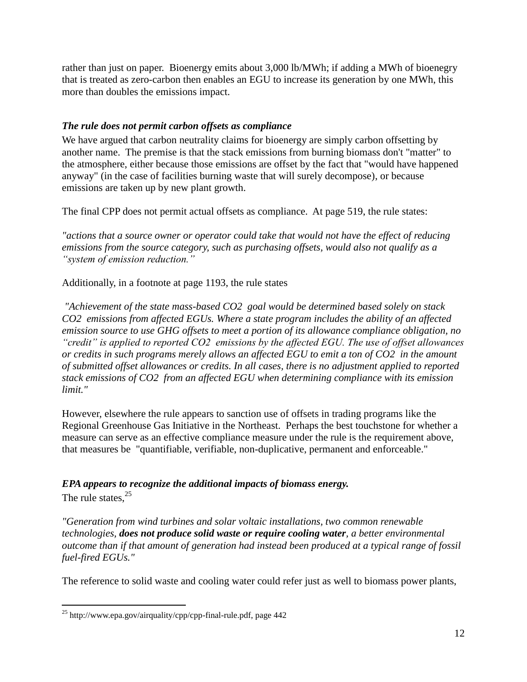rather than just on paper. Bioenergy emits about 3,000 lb/MWh; if adding a MWh of bioenegry that is treated as zero-carbon then enables an EGU to increase its generation by one MWh, this more than doubles the emissions impact.

# <span id="page-11-0"></span>*The rule does not permit carbon offsets as compliance*

We have argued that carbon neutrality claims for bioenergy are simply carbon offsetting by another name. The premise is that the stack emissions from burning biomass don't "matter" to the atmosphere, either because those emissions are offset by the fact that "would have happened anyway" (in the case of facilities burning waste that will surely decompose), or because emissions are taken up by new plant growth.

The final CPP does not permit actual offsets as compliance. At page 519, the rule states:

*"actions that a source owner or operator could take that would not have the effect of reducing emissions from the source category, such as purchasing offsets, would also not qualify as a "system of emission reduction."*

Additionally, in a footnote at page 1193, the rule states

*"Achievement of the state mass-based CO2 goal would be determined based solely on stack CO2 emissions from affected EGUs. Where a state program includes the ability of an affected emission source to use GHG offsets to meet a portion of its allowance compliance obligation, no "credit" is applied to reported CO2 emissions by the affected EGU. The use of offset allowances or credits in such programs merely allows an affected EGU to emit a ton of CO2 in the amount of submitted offset allowances or credits. In all cases, there is no adjustment applied to reported stack emissions of CO2 from an affected EGU when determining compliance with its emission limit."*

However, elsewhere the rule appears to sanction use of offsets in trading programs like the Regional Greenhouse Gas Initiative in the Northeast. Perhaps the best touchstone for whether a measure can serve as an effective compliance measure under the rule is the requirement above, that measures be "quantifiable, verifiable, non-duplicative, permanent and enforceable."

# <span id="page-11-1"></span>*EPA appears to recognize the additional impacts of biomass energy.*

The rule states. $^{25}$ 

 $\overline{a}$ 

*"Generation from wind turbines and solar voltaic installations, two common renewable technologies, does not produce solid waste or require cooling water, a better environmental outcome than if that amount of generation had instead been produced at a typical range of fossil fuel-fired EGUs."*

The reference to solid waste and cooling water could refer just as well to biomass power plants,

<sup>&</sup>lt;sup>25</sup> http://www.epa.gov/airquality/cpp/cpp-final-rule.pdf, page  $442$